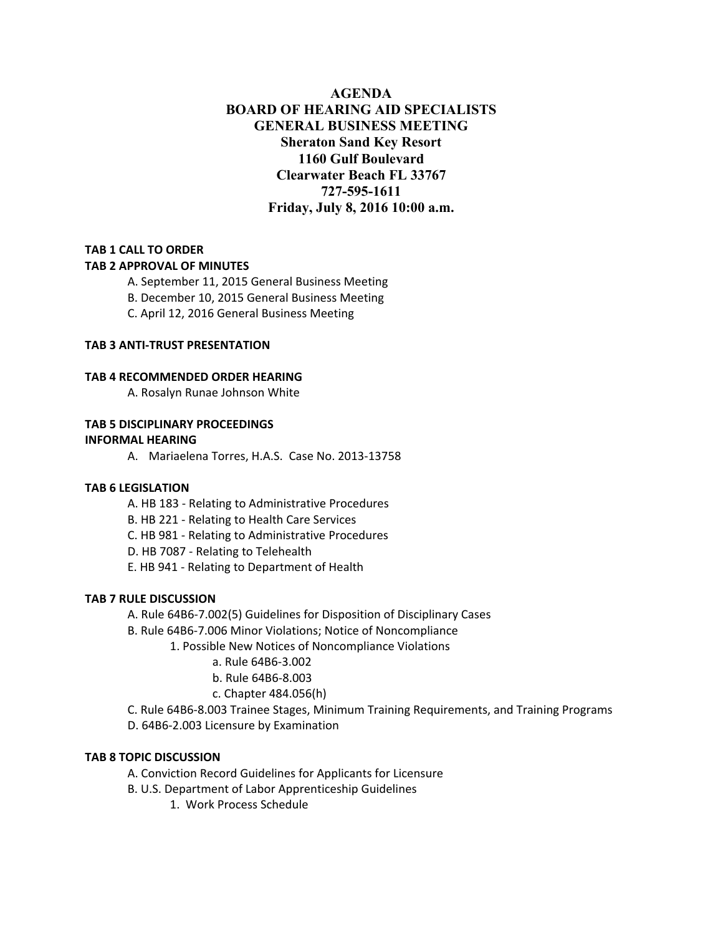# **AGENDA BOARD OF HEARING AID SPECIALISTS GENERAL BUSINESS MEETING Sheraton Sand Key Resort 1160 Gulf Boulevard Clearwater Beach FL 33767 727-595-1611 Friday, July 8, 2016 10:00 a.m.**

# **TAB 1 CALL TO ORDER**

## **TAB 2 APPROVAL OF MINUTES**

- A. September 11, 2015 General Business Meeting
- B. December 10, 2015 General Business Meeting
- C. April 12, 2016 General Business Meeting

## **TAB 3 ANTI‐TRUST PRESENTATION**

## **TAB 4 RECOMMENDED ORDER HEARING**

A. Rosalyn Runae Johnson White

#### **TAB 5 DISCIPLINARY PROCEEDINGS**

#### **INFORMAL HEARING**

A. Mariaelena Torres, H.A.S. Case No. 2013‐13758

## **TAB 6 LEGISLATION**

- A. HB 183 ‐ Relating to Administrative Procedures
- B. HB 221 ‐ Relating to Health Care Services
- C. HB 981 ‐ Relating to Administrative Procedures
- D. HB 7087 ‐ Relating to Telehealth
- E. HB 941 ‐ Relating to Department of Health

#### **TAB 7 RULE DISCUSSION**

- A. Rule 64B6‐7.002(5) Guidelines for Disposition of Disciplinary Cases
- B. Rule 64B6‐7.006 Minor Violations; Notice of Noncompliance
	- 1. Possible New Notices of Noncompliance Violations
		- a. Rule 64B6‐3.002
		- b. Rule 64B6‐8.003
		- c. Chapter 484.056(h)
- C. Rule 64B6‐8.003 Trainee Stages, Minimum Training Requirements, and Training Programs
- D. 64B6‐2.003 Licensure by Examination

#### **TAB 8 TOPIC DISCUSSION**

- A. Conviction Record Guidelines for Applicants for Licensure
- B. U.S. Department of Labor Apprenticeship Guidelines
	- 1. Work Process Schedule